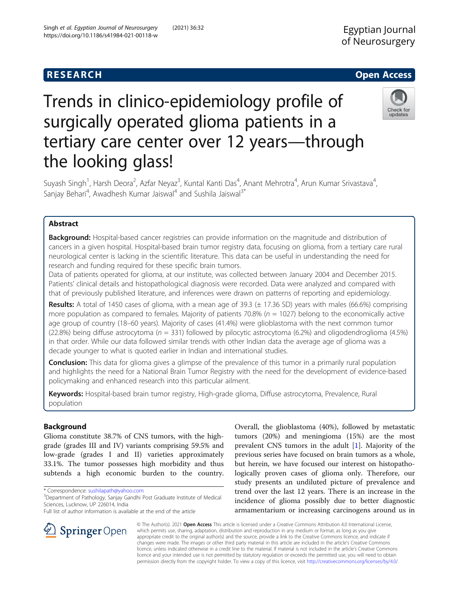## **RESEARCH CHE Open Access**

## Check for updates

# Trends in clinico-epidemiology profile of surgically operated glioma patients in a tertiary care center over 12 years—through the looking glass!

Suyash Singh<sup>1</sup>, Harsh Deora<sup>2</sup>, Azfar Neyaz<sup>3</sup>, Kuntal Kanti Das<sup>4</sup>, Anant Mehrotra<sup>4</sup>, Arun Kumar Srivastava<sup>4</sup> , Sanjay Behari<sup>4</sup>, Awadhesh Kumar Jaiswal<sup>4</sup> and Sushila Jaiswal<sup>3\*</sup>

### Abstract

**Background:** Hospital-based cancer registries can provide information on the magnitude and distribution of cancers in a given hospital. Hospital-based brain tumor registry data, focusing on glioma, from a tertiary care rural neurological center is lacking in the scientific literature. This data can be useful in understanding the need for research and funding required for these specific brain tumors.

Data of patients operated for glioma, at our institute, was collected between January 2004 and December 2015. Patients' clinical details and histopathological diagnosis were recorded. Data were analyzed and compared with that of previously published literature, and inferences were drawn on patterns of reporting and epidemiology.

**Results:** A total of 1450 cases of glioma, with a mean age of 39.3 ( $\pm$  17.36 SD) years with males (66.6%) comprising more population as compared to females. Majority of patients 70.8% ( $n = 1027$ ) belong to the economically active age group of country (18–60 years). Majority of cases (41.4%) were glioblastoma with the next common tumor (22.8%) being diffuse astrocytoma ( $n = 331$ ) followed by pilocytic astrocytoma (6.2%) and oligodendroglioma (4.5%) in that order. While our data followed similar trends with other Indian data the average age of glioma was a decade younger to what is quoted earlier in Indian and international studies.

**Conclusion:** This data for glioma gives a glimpse of the prevalence of this tumor in a primarily rural population and highlights the need for a National Brain Tumor Registry with the need for the development of evidence-based policymaking and enhanced research into this particular ailment.

Keywords: Hospital-based brain tumor registry, High-grade glioma, Diffuse astrocytoma, Prevalence, Rural population

### Background

Glioma constitute 38.7% of CNS tumors, with the highgrade (grades III and IV) variants comprising 59.5% and low-grade (grades I and II) varieties approximately 33.1%. The tumor possesses high morbidity and thus subtends a high economic burden to the country.

\* Correspondence: [sushilapath@yahoo.com](mailto:sushilapath@yahoo.com) <sup>3</sup>

<sup>3</sup> Department of Pathology, Sanjay Gandhi Post Graduate Institute of Medical Sciences, Lucknow, UP 226014, India

Full list of author information is available at the end of the article

Overall, the glioblastoma (40%), followed by metastatic tumors (20%) and meningioma (15%) are the most prevalent CNS tumors in the adult [\[1](#page-6-0)]. Majority of the previous series have focused on brain tumors as a whole, but herein, we have focused our interest on histopathologically proven cases of glioma only. Therefore, our study presents an undiluted picture of prevalence and trend over the last 12 years. There is an increase in the incidence of glioma possibly due to better diagnostic armamentarium or increasing carcinogens around us in



© The Author(s). 2021 Open Access This article is licensed under a Creative Commons Attribution 4.0 International License, which permits use, sharing, adaptation, distribution and reproduction in any medium or format, as long as you give appropriate credit to the original author(s) and the source, provide a link to the Creative Commons licence, and indicate if changes were made. The images or other third party material in this article are included in the article's Creative Commons licence, unless indicated otherwise in a credit line to the material. If material is not included in the article's Creative Commons licence and your intended use is not permitted by statutory regulation or exceeds the permitted use, you will need to obtain permission directly from the copyright holder. To view a copy of this licence, visit <http://creativecommons.org/licenses/by/4.0/>.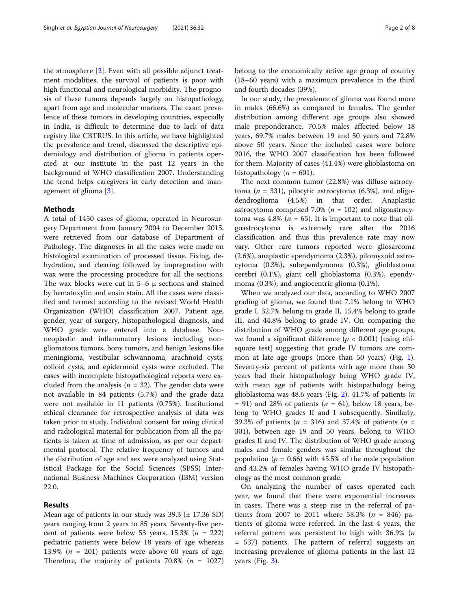the atmosphere [\[2](#page-7-0)]. Even with all possible adjunct treatment modalities, the survival of patients is poor with high functional and neurological morbidity. The prognosis of these tumors depends largely on histopathology, apart from age and molecular markers. The exact prevalence of these tumors in developing countries, especially in India, is difficult to determine due to lack of data registry like CBTRUS. In this article, we have highlighted the prevalence and trend, discussed the descriptive epidemiology and distribution of glioma in patients operated at our institute in the past 12 years in the background of WHO classification 2007. Understanding the trend helps caregivers in early detection and management of glioma [[3\]](#page-7-0).

#### Methods

A total of 1450 cases of glioma, operated in Neurosurgery Department from January 2004 to December 2015, were retrieved from our database of Department of Pathology. The diagnoses in all the cases were made on histological examination of processed tissue. Fixing, dehydration, and clearing followed by impregnation with wax were the processing procedure for all the sections. The wax blocks were cut in  $5-6 \mu$  sections and stained by hematoxylin and eosin stain. All the cases were classified and termed according to the revised World Health Organization (WHO) classification 2007. Patient age, gender, year of surgery, histopathological diagnosis, and WHO grade were entered into a database. Nonneoplastic and inflammatory lesions including nongliomatous tumors, bony tumors, and benign lesions like meningioma, vestibular schwannoma, arachnoid cysts, colloid cysts, and epidermoid cysts were excluded. The cases with incomplete histopathological reports were excluded from the analysis ( $n = 32$ ). The gender data were not available in 84 patients (5.7%) and the grade data were not available in 11 patients (0.75%). Institutional ethical clearance for retrospective analysis of data was taken prior to study. Individual consent for using clinical and radiological material for publication from all the patients is taken at time of admission, as per our departmental protocol. The relative frequency of tumors and the distribution of age and sex were analyzed using Statistical Package for the Social Sciences (SPSS) International Business Machines Corporation (IBM) version 22.0.

#### Results

Mean age of patients in our study was 39.3 (± 17.36 SD) years ranging from 2 years to 85 years. Seventy-five percent of patients were below 53 years. 15.3% ( $n = 222$ ) pediatric patients were below 18 years of age whereas 13.9% ( $n = 201$ ) patients were above 60 years of age. Therefore, the majority of patients 70.8% ( $n = 1027$ ) belong to the economically active age group of country (18–60 years) with a maximum prevalence in the third and fourth decades (39%).

In our study, the prevalence of glioma was found more in males (66.6%) as compared to females. The gender distribution among different age groups also showed male preponderance. 70.5% males affected below 18 years, 69.7% males between 19 and 50 years and 72.8% above 50 years. Since the included cases were before 2016, the WHO 2007 classification has been followed for them. Majority of cases (41.4%) were glioblastoma on histopathology ( $n = 601$ ).

The next common tumor (22.8%) was diffuse astrocytoma ( $n = 331$ ), pilocytic astrocytoma (6.3%), and oligodendroglioma (4.5%) in that order. Anaplastic astrocytoma comprised 7.0% ( $n = 102$ ) and oligoastrocytoma was 4.8% ( $n = 65$ ). It is important to note that oligoastrocytoma is extremely rare after the 2016 classification and thus this prevalence rate may now vary. Other rare tumors reported were gliosarcoma (2.6%), anaplastic ependymoma (2.3%), pilomyxoid astrocytoma (0.3%), subependymoma (0.3%), glioblastoma cerebri (0.1%), giant cell glioblastoma (0.3%), ependymoma (0.3%), and angiocentric glioma (0.1%).

When we analyzed our data, according to WHO 2007 grading of glioma, we found that 7.1% belong to WHO grade I, 32.7% belong to grade II, 15.4% belong to grade III, and 44.8% belong to grade IV. On comparing the distribution of WHO grade among different age groups, we found a significant difference ( $p < 0.001$ ) [using chisquare test] suggesting that grade IV tumors are common at late age groups (more than 50 years) (Fig. [1](#page-2-0)). Seventy-six percent of patients with age more than 50 years had their histopathology being WHO grade IV, with mean age of patients with histopathology being glioblastoma was 48.6 years (Fig. [2\)](#page-2-0). 41.7% of patients ( $n$  $= 91$ ) and 28% of patients ( $n = 61$ ), below 18 years, belong to WHO grades II and I subsequently. Similarly, 39.3% of patients ( $n = 316$ ) and 37.4% of patients ( $n =$ 301), between age 19 and 50 years, belong to WHO grades II and IV. The distribution of WHO grade among males and female genders was similar throughout the population ( $p = 0.66$ ) with 45.5% of the male population and 43.2% of females having WHO grade IV histopathology as the most common grade.

On analyzing the number of cases operated each year, we found that there were exponential increases in cases. There was a steep rise in the referral of patients from 2007 to 2011 where 58.3% ( $n = 846$ ) patients of glioma were referred. In the last 4 years, the referral pattern was persistent to high with 36.9% (n = 537) patients. The pattern of referral suggests an increasing prevalence of glioma patients in the last 12 years (Fig. [3\)](#page-3-0).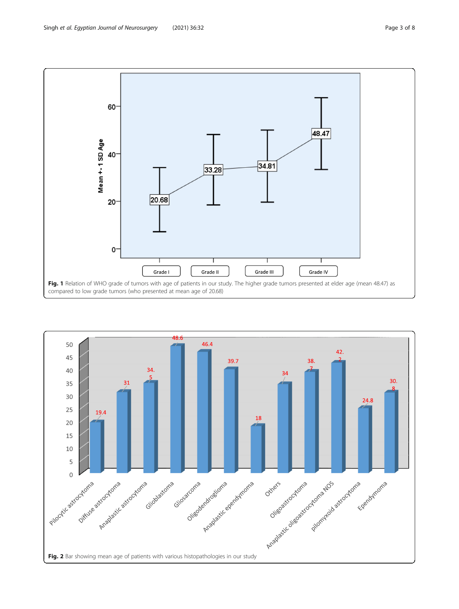<span id="page-2-0"></span>

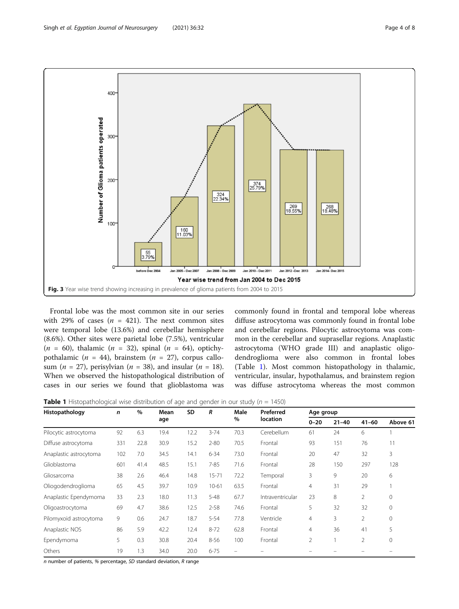<span id="page-3-0"></span>

Frontal lobe was the most common site in our series with 29% of cases ( $n = 421$ ). The next common sites were temporal lobe (13.6%) and cerebellar hemisphere (8.6%). Other sites were parietal lobe (7.5%), ventricular ( $n = 60$ ), thalamic ( $n = 32$ ), spinal ( $n = 64$ ), optichypothalamic ( $n = 44$ ), brainstem ( $n = 27$ ), corpus callosum (*n* = 27), perisylvian (*n* = 38), and insular (*n* = 18). When we observed the histopathological distribution of cases in our series we found that glioblastoma was

commonly found in frontal and temporal lobe whereas diffuse astrocytoma was commonly found in frontal lobe and cerebellar regions. Pilocytic astrocytoma was common in the cerebellar and suprasellar regions. Anaplastic astrocytoma (WHO grade III) and anaplastic oligodendroglioma were also common in frontal lobes (Table 1). Most common histopathology in thalamic, ventricular, insular, hypothalamus, and brainstem region was diffuse astrocytoma whereas the most common

**Table 1** Histopathological wise distribution of age and gender in our study ( $n = 1450$ )

| Histopathology         | n   | $\%$ | Mean | <b>SD</b> | R         | Male | Preferred        | Age group      |           |                |             |
|------------------------|-----|------|------|-----------|-----------|------|------------------|----------------|-----------|----------------|-------------|
|                        |     |      | age  |           |           | %    | location         | $0 - 20$       | $21 - 40$ | $41 - 60$      | Above 61    |
| Pilocytic astrocytoma  | 92  | 6.3  | 19.4 | 12.2      | $3 - 74$  | 70.3 | Cerebellum       | 61             | 24        | 6              |             |
| Diffuse astrocytoma    | 331 | 22.8 | 30.9 | 15.2      | $2 - 80$  | 70.5 | Frontal          | 93             | 151       | 76             | 11          |
| Anaplastic astrocytoma | 102 | 7.0  | 34.5 | 14.1      | $6 - 34$  | 73.0 | Frontal          | 20             | 47        | 32             | 3           |
| Glioblastoma           | 601 | 41.4 | 48.5 | 15.1      | $7 - 85$  | 71.6 | Frontal          | 28             | 150       | 297            | 128         |
| Gliosarcoma            | 38  | 2.6  | 46.4 | 14.8      | $15 - 71$ | 72.2 | Temporal         | 3              | 9         | 20             | 6           |
| Oliogodendroglioma     | 65  | 4.5  | 39.7 | 10.9      | $10 - 61$ | 63.5 | Frontal          | $\overline{4}$ | 31        | 29             |             |
| Anaplastic Ependymoma  | 33  | 2.3  | 18.0 | 11.3      | $5 - 48$  | 67.7 | Intraventricular | 23             | 8         | $\overline{2}$ | 0           |
| Oligoastrocytoma       | 69  | 4.7  | 38.6 | 12.5      | $2 - 58$  | 74.6 | Frontal          | 5              | 32        | 32             | $\mathbf 0$ |
| Pilomyxoid astrocytoma | 9   | 0.6  | 24.7 | 18.7      | $5 - 54$  | 77.8 | Ventricle        | $\overline{4}$ | 3         | $\overline{2}$ | 0           |
| Anaplastic NOS         | 86  | 5.9  | 42.2 | 12.4      | $8 - 72$  | 62.8 | Frontal          | $\overline{4}$ | 36        | 41             | 5           |
| Ependymoma             | 5   | 0.3  | 30.8 | 20.4      | $8 - 56$  | 100  | Frontal          | 2              |           | 2              | 0           |
| Others                 | 19  | 1.3  | 34.0 | 20.0      | $6 - 75$  |      |                  |                |           |                |             |

n number of patients, % percentage, SD standard deviation, R range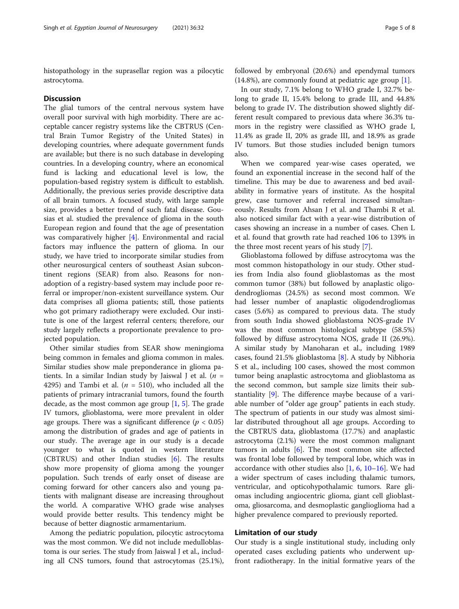histopathology in the suprasellar region was a pilocytic astrocytoma.

#### **Discussion**

The glial tumors of the central nervous system have overall poor survival with high morbidity. There are acceptable cancer registry systems like the CBTRUS (Central Brain Tumor Registry of the United States) in developing countries, where adequate government funds are available; but there is no such database in developing countries. In a developing country, where an economical fund is lacking and educational level is low, the population-based registry system is difficult to establish. Additionally, the previous series provide descriptive data of all brain tumors. A focused study, with large sample size, provides a better trend of such fatal disease. Gousias et al. studied the prevalence of glioma in the south European region and found that the age of presentation was comparatively higher [\[4](#page-7-0)]. Environmental and racial factors may influence the pattern of glioma. In our study, we have tried to incorporate similar studies from other neurosurgical centers of southeast Asian subcontinent regions (SEAR) from also. Reasons for nonadoption of a registry-based system may include poor referral or improper/non-existent surveillance system. Our data comprises all glioma patients; still, those patients who got primary radiotherapy were excluded. Our institute is one of the largest referral centers; therefore, our study largely reflects a proportionate prevalence to projected population.

Other similar studies from SEAR show meningioma being common in females and glioma common in males. Similar studies show male preponderance in glioma patients. In a similar Indian study by Jaiswal J et al.  $(n =$ 4295) and Tambi et al. ( $n = 510$ ), who included all the patients of primary intracranial tumors, found the fourth decade, as the most common age group  $[1, 5]$  $[1, 5]$  $[1, 5]$  $[1, 5]$ . The grade IV tumors, glioblastoma, were more prevalent in older age groups. There was a significant difference ( $p < 0.05$ ) among the distribution of grades and age of patients in our study. The average age in our study is a decade younger to what is quoted in western literature (CBTRUS) and other Indian studies [\[6](#page-7-0)]. The results show more propensity of glioma among the younger population. Such trends of early onset of disease are coming forward for other cancers also and young patients with malignant disease are increasing throughout the world. A comparative WHO grade wise analyses would provide better results. This tendency might be because of better diagnostic armamentarium.

Among the pediatric population, pilocytic astrocytoma was the most common. We did not include medulloblastoma is our series. The study from Jaiswal J et al., including all CNS tumors, found that astrocytomas (25.1%),

followed by embryonal (20.6%) and ependymal tumors (14.8%), are commonly found at pediatric age group [\[1\]](#page-6-0).

In our study, 7.1% belong to WHO grade I, 32.7% belong to grade II, 15.4% belong to grade III, and 44.8% belong to grade IV. The distribution showed slightly different result compared to previous data where 36.3% tumors in the registry were classified as WHO grade I, 11.4% as grade II, 20% as grade III, and 18.9% as grade IV tumors. But those studies included benign tumors also.

When we compared year-wise cases operated, we found an exponential increase in the second half of the timeline. This may be due to awareness and bed availability in formative years of institute. As the hospital grew, case turnover and referral increased simultaneously. Results from Ahsan J et al. and Thambi R et al. also noticed similar fact with a year-wise distribution of cases showing an increase in a number of cases. Chen L et al. found that growth rate had reached 106 to 139% in the three most recent years of his study [\[7](#page-7-0)].

Glioblastoma followed by diffuse astrocytoma was the most common histopathology in our study. Other studies from India also found glioblastomas as the most common tumor (38%) but followed by anaplastic oligodendrogliomas (24.5%) as second most common. We had lesser number of anaplastic oligodendrogliomas cases (5.6%) as compared to previous data. The study from south India showed glioblastoma NOS-grade IV was the most common histological subtype (58.5%) followed by diffuse astrocytoma NOS, grade II (26.9%). A similar study by Manoharan et al., including 1989 cases, found 21.5% glioblastoma [[8\]](#page-7-0). A study by Nibhoria S et al., including 100 cases, showed the most common tumor being anaplastic astrocytoma and glioblastoma as the second common, but sample size limits their substantiality [[9\]](#page-7-0). The difference maybe because of a variable number of "older age group" patients in each study. The spectrum of patients in our study was almost similar distributed throughout all age groups. According to the CBTRUS data, glioblastoma (17.7%) and anaplastic astrocytoma (2.1%) were the most common malignant tumors in adults  $[6]$  $[6]$ . The most common site affected was frontal lobe followed by temporal lobe, which was in accordance with other studies also  $[1, 6, 10-16]$  $[1, 6, 10-16]$  $[1, 6, 10-16]$  $[1, 6, 10-16]$  $[1, 6, 10-16]$  $[1, 6, 10-16]$  $[1, 6, 10-16]$ . We had a wider spectrum of cases including thalamic tumors, ventricular, and opticohypothalamic tumors. Rare gliomas including angiocentric glioma, giant cell glioblastoma, gliosarcoma, and desmoplastic ganglioglioma had a higher prevalence compared to previously reported.

#### Limitation of our study

Our study is a single institutional study, including only operated cases excluding patients who underwent upfront radiotherapy. In the initial formative years of the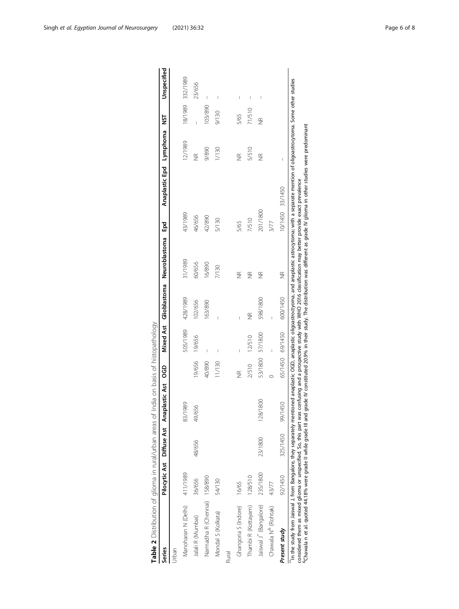<span id="page-5-0"></span>

| Table 2 Distribution of glioma in rural/urban areas of                                                                                                                                                                                                                                                                                                                                                                                      |          |          | India on basis of histopathology         |                    |                  |          |                                                                                                                                |                 |                         |                    |                                       |
|---------------------------------------------------------------------------------------------------------------------------------------------------------------------------------------------------------------------------------------------------------------------------------------------------------------------------------------------------------------------------------------------------------------------------------------------|----------|----------|------------------------------------------|--------------------|------------------|----------|--------------------------------------------------------------------------------------------------------------------------------|-----------------|-------------------------|--------------------|---------------------------------------|
| Series                                                                                                                                                                                                                                                                                                                                                                                                                                      |          |          | Pilocytic Ast Diffuse Ast Anaplastic Ast | ဗွ                 | <b>Mixed Ast</b> |          | Glioblastoma Neuroblastoma                                                                                                     | Epd             | Anaplastic Epd Lymphoma | 5T                 | Unspecified                           |
| Urban                                                                                                                                                                                                                                                                                                                                                                                                                                       |          |          |                                          |                    |                  |          |                                                                                                                                |                 |                         |                    |                                       |
| Manoharan N (Delhi)                                                                                                                                                                                                                                                                                                                                                                                                                         | 411/1989 |          | 989<br>$\frac{2}{3}$                     |                    | 505/1989         | 428/1989 | 31/1989                                                                                                                        | 43/1989         | 12/1989                 |                    | 18/1989 332/1989                      |
| Jalali R (Mumbai)                                                                                                                                                                                                                                                                                                                                                                                                                           | 36/656   | 48/656   | 49/656                                   | 9/656              | 19/656           | 102/656  | 60/656                                                                                                                         | 46/656          | $\frac{\alpha}{2}$      | I                  | 23/656                                |
| Narmadha R (Chennai) 158/890                                                                                                                                                                                                                                                                                                                                                                                                                |          |          |                                          | 40/890             | Ī                | 163/890  | 16/890                                                                                                                         | 42/890          | 9/890                   | 103/890            | $\overline{1}$                        |
| Mondal S (Kolkata)                                                                                                                                                                                                                                                                                                                                                                                                                          | 54/130   |          |                                          | 1/130              |                  | Ī        | 7/130                                                                                                                          | 5/130           | 1/130                   | 9/130              | I                                     |
| Rural                                                                                                                                                                                                                                                                                                                                                                                                                                       |          |          |                                          |                    |                  |          |                                                                                                                                |                 |                         |                    |                                       |
| Ghangoria S (Indore)                                                                                                                                                                                                                                                                                                                                                                                                                        | 16/65    |          |                                          | $\frac{\infty}{2}$ | ľ                | Ï        | $\frac{\alpha}{\alpha}$                                                                                                        | 5/65            | $\frac{\infty}{2}$      | 5/65               | $\begin{array}{c} \hline \end{array}$ |
| Thambi R (Kottayam)                                                                                                                                                                                                                                                                                                                                                                                                                         | 128/510  |          |                                          | 2/510              | 12/510           | ΨŘ       | $\frac{\alpha}{2}$                                                                                                             | 7/510           | 5/510                   | 71/510             | I                                     |
| Jaiswal J <sup>*</sup> (Bangalore)                                                                                                                                                                                                                                                                                                                                                                                                          | 235/1800 | 23/1800  | 128/1800                                 | 53/1800            | 57/1800          | 598/1800 | E                                                                                                                              | 201/1800        | $\frac{\alpha}{2}$      | $\frac{\alpha}{2}$ | I                                     |
| Chawala N <sup>&amp;</sup> (Rohtak)                                                                                                                                                                                                                                                                                                                                                                                                         | 43/77    |          |                                          |                    |                  |          |                                                                                                                                | 3/77            |                         |                    |                                       |
| Present study                                                                                                                                                                                                                                                                                                                                                                                                                               | 92/1450  | 325/1450 | 1450<br>99/1                             | 65/1450 69/1450    |                  | 600/1450 | E                                                                                                                              | 10/1450 33/1450 |                         |                    |                                       |
| In the study from Jaiswal J, from Bangalore, they separately mentioned anaplastic Oigoastrochyoma, and anaplastic astrocytoma; with a separate mention of oligoastrocytoma. Some other studies<br>considered them as mixed glioma or unspecified. So, this part was confusing and a prospective study with WHO 2016 classification may better provide exact prevalence<br>"Chawala n et al. quoted 44.18% were grade II while grade III and |          |          |                                          |                    |                  |          | grade IV constituted 20.9% in their study. The distribution was different as grade IV glioma in other studies were predominant |                 |                         |                    |                                       |

| ١               |
|-----------------|
|                 |
|                 |
| י<br>ו          |
|                 |
|                 |
|                 |
| ļ               |
| l<br>I          |
|                 |
|                 |
|                 |
| -<br>-<br>-     |
|                 |
|                 |
|                 |
| j               |
| l               |
|                 |
|                 |
|                 |
|                 |
|                 |
| ī               |
|                 |
|                 |
|                 |
| $5 - 5 - 5 = 5$ |
|                 |
|                 |
|                 |
| 3)<br>ī         |
|                 |
|                 |
|                 |
|                 |
|                 |
|                 |
|                 |
|                 |
|                 |
|                 |
|                 |
|                 |
|                 |
|                 |
|                 |
|                 |
|                 |
|                 |
|                 |
|                 |
|                 |
| $\overline{ }$  |
|                 |
| ة<br>و<br>j     |
|                 |
|                 |
|                 |
|                 |
|                 |
|                 |
|                 |
|                 |
|                 |
| l               |
|                 |
| $\frac{1}{2}$   |
|                 |
|                 |
|                 |
|                 |
|                 |
| ı               |
|                 |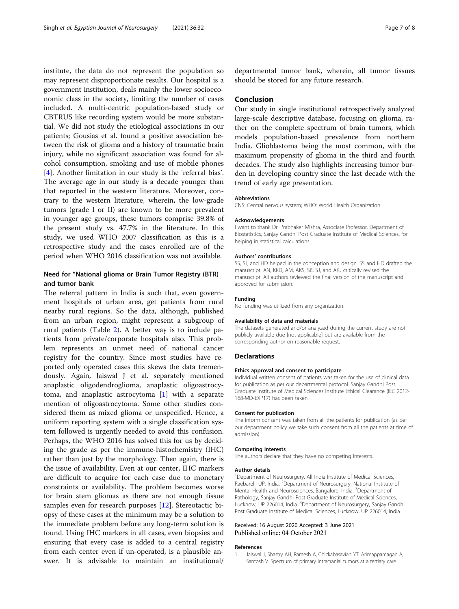<span id="page-6-0"></span>institute, the data do not represent the population so may represent disproportionate results. Our hospital is a government institution, deals mainly the lower socioeconomic class in the society, limiting the number of cases included. A multi-centric population-based study or CBTRUS like recording system would be more substantial. We did not study the etiological associations in our patients; Gousias et al. found a positive association between the risk of glioma and a history of traumatic brain injury, while no significant association was found for alcohol consumption, smoking and use of mobile phones [[4\]](#page-7-0). Another limitation in our study is the 'referral bias'. The average age in our study is a decade younger than that reported in the western literature. Moreover, contrary to the western literature, wherein, the low-grade tumors (grade I or II) are known to be more prevalent in younger age groups, these tumors comprise 39.8% of the present study vs. 47.7% in the literature. In this study, we used WHO 2007 classification as this is a retrospective study and the cases enrolled are of the period when WHO 2016 classification was not available.

#### Need for "National glioma or Brain Tumor Registry (BTR) and tumor bank

The referral pattern in India is such that, even government hospitals of urban area, get patients from rural nearby rural regions. So the data, although, published from an urban region, might represent a subgroup of rural patients (Table [2\)](#page-5-0). A better way is to include patients from private/corporate hospitals also. This problem represents an unmet need of national cancer registry for the country. Since most studies have reported only operated cases this skews the data tremendously. Again, Jaiswal J et al. separately mentioned anaplastic oligodendroglioma, anaplastic oligoastrocytoma, and anaplastic astrocytoma [1] with a separate mention of oligoastrocytoma. Some other studies considered them as mixed glioma or unspecified. Hence, a uniform reporting system with a single classification system followed is urgently needed to avoid this confusion. Perhaps, the WHO 2016 has solved this for us by deciding the grade as per the immune-histochemistry (IHC) rather than just by the morphology. Then again, there is the issue of availability. Even at our center, IHC markers are difficult to acquire for each case due to monetary constraints or availability. The problem becomes worse for brain stem gliomas as there are not enough tissue samples even for research purposes [[12\]](#page-7-0). Stereotactic biopsy of these cases at the minimum may be a solution to the immediate problem before any long-term solution is found. Using IHC markers in all cases, even biopsies and ensuring that every case is added to a central registry from each center even if un-operated, is a plausible answer. It is advisable to maintain an institutional/

departmental tumor bank, wherein, all tumor tissues should be stored for any future research.

#### Conclusion

Our study in single institutional retrospectively analyzed large-scale descriptive database, focusing on glioma, rather on the complete spectrum of brain tumors, which models population-based prevalence from northern India. Glioblastoma being the most common, with the maximum propensity of glioma in the third and fourth decades. The study also highlights increasing tumor burden in developing country since the last decade with the trend of early age presentation.

#### Abbreviations

CNS: Central nervous system; WHO: World Health Organization

#### Acknowledgements

I want to thank Dr. Prabhaker Mishra, Associate Professor, Department of Biostatistics, Sanjay Gandhi Post Graduate Institute of Medical Sciences, for helping in statistical calculations.

#### Authors' contributions

SS, SJ, and HD helped in the conception and design. SS and HD drafted the manuscript. AN, KKD, AM, AKS, SB, SJ, and AKJ critically revised the manuscript. All authors reviewed the final version of the manuscript and approved for submission.

#### Funding

No funding was utilized from any organization.

#### Availability of data and materials

The datasets generated and/or analyzed during the current study are not publicly available due [not applicable] but are available from the corresponding author on reasonable request.

#### **Declarations**

#### Ethics approval and consent to participate

Individual written consent of patients was taken for the use of clinical data for publication as per our departmental protocol. Sanjay Gandhi Post Graduate Institute of Medical Sciences Institute Ethical Clearance (IEC 2012- 168-MD-EXP17) has been taken.

#### Consent for publication

The inform consent was taken from all the patients for publication (as per our department policy we take such consent from all the patients at time of admission).

#### Competing interests

The authors declare that they have no competing interests.

#### Author details

<sup>1</sup>Department of Neurosurgery, All India Institute of Medical Sciences, Raebareli, UP, India. <sup>2</sup>Department of Neurosurgery, National Institute of Mental Health and Neurosciences, Bangalore, India. <sup>3</sup>Department of Pathology, Sanjay Gandhi Post Graduate Institute of Medical Sciences, Lucknow, UP 226014, India. <sup>4</sup> Department of Neurosurgery, Sanjay Gandhi Post Graduate Institute of Medical Sciences, Lucknow, UP 226014, India.

#### Received: 16 August 2020 Accepted: 3 June 2021 Published online: 04 October 2021

#### References

1. Jaiswal J, Shastry AH, Ramesh A, Chickabasaviah YT, Arimappamagan A, Santosh V. Spectrum of primary intracranial tumors at a tertiary care